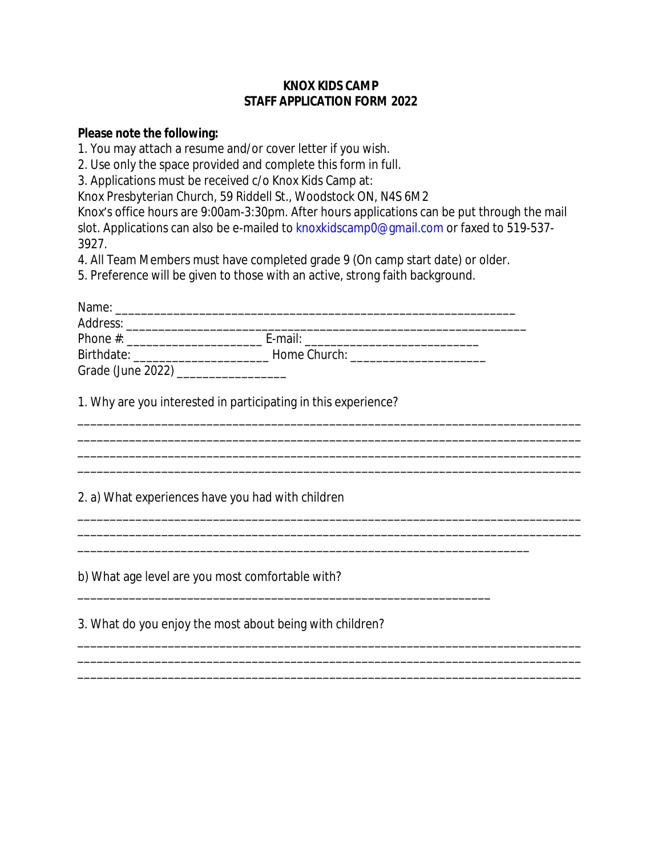## **KNOX KIDS CAMP STAFF APPLICATION FORM 2022**

## **Please note the following:**

1. You may attach a resume and/or cover letter if you wish.

2. Use only the space provided and complete this form in full.

3. Applications must be received c/o Knox Kids Camp at:

Knox Presbyterian Church, 59 Riddell St., Woodstock ON, N4S 6M2

Knox's office hours are 9:00am-3:30pm. After hours applications can be put through the mail slot. Applications can also be e-mailed to knoxkidscamp0@gmail.com or faxed to 519-537- 3927.

\_\_\_\_\_\_\_\_\_\_\_\_\_\_\_\_\_\_\_\_\_\_\_\_\_\_\_\_\_\_\_\_\_\_\_\_\_\_\_\_\_\_\_\_\_\_\_\_\_\_\_\_\_\_\_\_\_\_\_\_\_\_\_\_\_\_\_\_\_\_\_\_\_\_\_\_\_\_

\_\_\_\_\_\_\_\_\_\_\_\_\_\_\_\_\_\_\_\_\_\_\_\_\_\_\_\_\_\_\_\_\_\_\_\_\_\_\_\_\_\_\_\_\_\_\_\_\_\_\_\_\_\_\_\_\_\_\_\_\_\_\_\_\_\_\_\_\_\_\_\_\_\_\_\_\_\_ \_\_\_\_\_\_\_\_\_\_\_\_\_\_\_\_\_\_\_\_\_\_\_\_\_\_\_\_\_\_\_\_\_\_\_\_\_\_\_\_\_\_\_\_\_\_\_\_\_\_\_\_\_\_\_\_\_\_\_\_\_\_\_\_\_\_\_\_\_\_\_\_\_\_\_\_\_\_

\_\_\_\_\_\_\_\_\_\_\_\_\_\_\_\_\_\_\_\_\_\_\_\_\_\_\_\_\_\_\_\_\_\_\_\_\_\_\_\_\_\_\_\_\_\_\_\_\_\_\_\_\_\_\_\_\_\_\_\_\_\_\_\_\_\_\_\_\_\_\_\_\_\_\_\_\_\_ \_\_\_\_\_\_\_\_\_\_\_\_\_\_\_\_\_\_\_\_\_\_\_\_\_\_\_\_\_\_\_\_\_\_\_\_\_\_\_\_\_\_\_\_\_\_\_\_\_\_\_\_\_\_\_\_\_\_\_\_\_\_\_\_\_\_\_\_\_\_\_\_\_\_\_\_\_\_

\_\_\_\_\_\_\_\_\_\_\_\_\_\_\_\_\_\_\_\_\_\_\_\_\_\_\_\_\_\_\_\_\_\_\_\_\_\_\_\_\_\_\_\_\_\_\_\_\_\_\_\_\_\_\_\_\_\_\_\_\_\_\_\_\_\_\_\_\_\_\_\_\_\_\_\_\_\_ \_\_\_\_\_\_\_\_\_\_\_\_\_\_\_\_\_\_\_\_\_\_\_\_\_\_\_\_\_\_\_\_\_\_\_\_\_\_\_\_\_\_\_\_\_\_\_\_\_\_\_\_\_\_\_\_\_\_\_\_\_\_\_\_\_\_\_\_\_\_\_\_\_\_\_\_\_\_

\_\_\_\_\_\_\_\_\_\_\_\_\_\_\_\_\_\_\_\_\_\_\_\_\_\_\_\_\_\_\_\_\_\_\_\_\_\_\_\_\_\_\_\_\_\_\_\_\_\_\_\_\_\_\_\_\_\_\_\_\_\_\_\_\_\_\_\_\_\_

\_\_\_\_\_\_\_\_\_\_\_\_\_\_\_\_\_\_\_\_\_\_\_\_\_\_\_\_\_\_\_\_\_\_\_\_\_\_\_\_\_\_\_\_\_\_\_\_\_\_\_\_\_\_\_\_\_\_\_\_\_\_\_\_

4. All Team Members must have completed grade 9 (On camp start date) or older.

5. Preference will be given to those with an active, strong faith background.

| Name:             |                                     |  |
|-------------------|-------------------------------------|--|
| Address:          |                                     |  |
| Phone $#$ :       | E-mail:                             |  |
| Birthdate:        | Home Church: Northern School School |  |
| Grade (June 2022) |                                     |  |

1. Why are you interested in participating in this experience?

2. a) What experiences have you had with children

b) What age level are you most comfortable with?

3. What do you enjoy the most about being with children?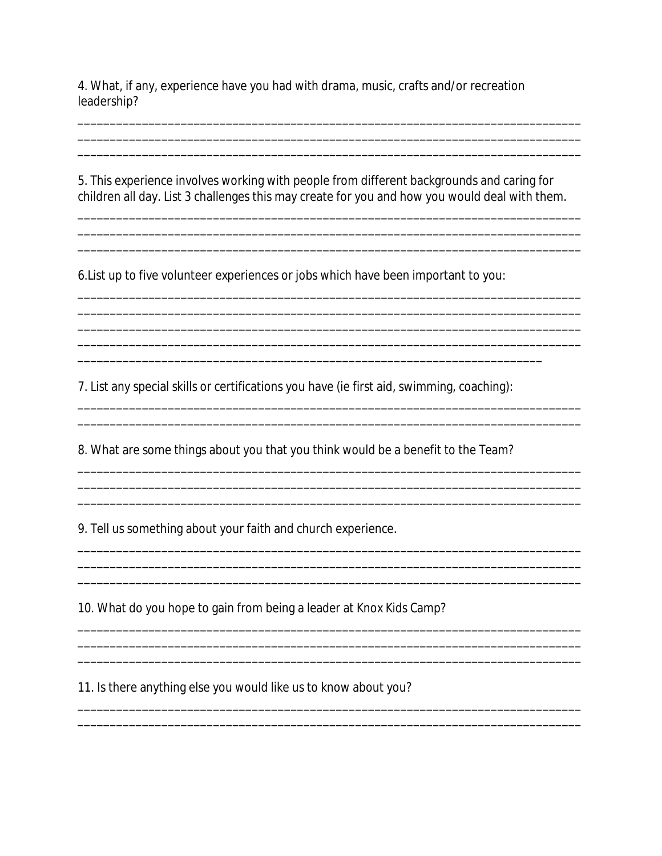4. What, if any, experience have you had with drama, music, crafts and/or recreation leadership?

5. This experience involves working with people from different backgrounds and caring for children all day. List 3 challenges this may create for you and how you would deal with them.

<u> 1989 - Johann Barn, mars ann an t-Amhain ann an t-Amhain ann an t-Amhain ann an t-Amhain an t-Amhain an t-A</u>

6. List up to five volunteer experiences or jobs which have been important to you:

7. List any special skills or certifications you have (ie first aid, swimming, coaching):

8. What are some things about you that you think would be a benefit to the Team?

9. Tell us something about your faith and church experience.

10. What do you hope to gain from being a leader at Knox Kids Camp?

11. Is there anything else you would like us to know about you?